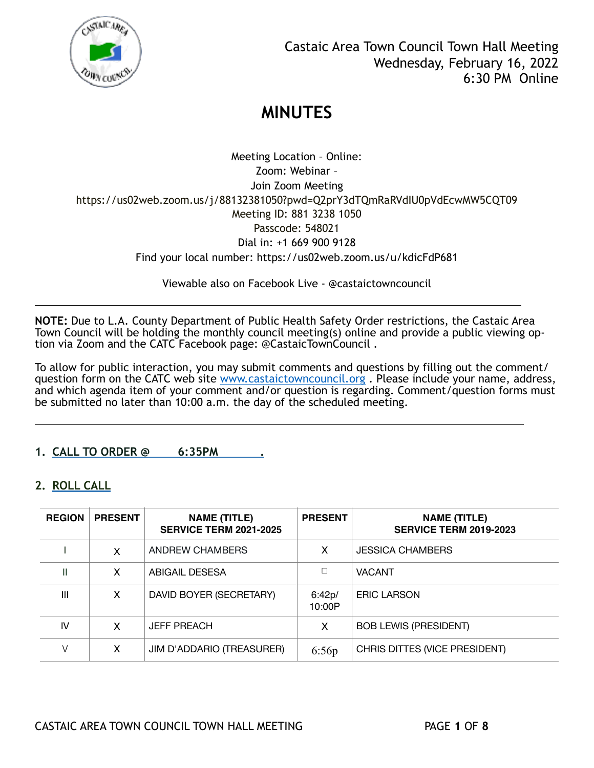

Meeting Location – Online: Zoom: Webinar – Join Zoom Meeting https://us02web.zoom.us/j/88132381050?pwd=Q2prY3dTQmRaRVdIU0pVdEcwMW5CQT09 Meeting ID: 881 3238 1050 Passcode: 548021 Dial in: +1 669 900 9128 Find your local number: https://us02web.zoom.us/u/kdicFdP681

Viewable also on Facebook Live - @castaictowncouncil

**NOTE:** Due to L.A. County Department of Public Health Safety Order restrictions, the Castaic Area Town Council will be holding the monthly council meeting(s) online and provide a public viewing option via Zoom and the CATC Facebook page: @CastaicTownCouncil .

l

l

To allow for public interaction, you may submit comments and questions by filling out the comment/ question form on the CATC web site www.castaictowncouncil.org. Please include your name, address, and which agenda item of your comment and/or question is regarding. Comment/question forms must be submitted no later than 10:00 a.m. the day of the scheduled meeting.

**1. CALL TO ORDER @ 6:35PM .**

### **2. ROLL CALL**

| <b>REGION</b>  | <b>PRESENT</b> | <b>NAME (TITLE)</b><br><b>SERVICE TERM 2021-2025</b> | <b>PRESENT</b>   | <b>NAME (TITLE)</b><br><b>SERVICE TERM 2019-2023</b> |
|----------------|----------------|------------------------------------------------------|------------------|------------------------------------------------------|
|                | X              | ANDREW CHAMBERS                                      | x                | <b>JESSICA CHAMBERS</b>                              |
| Ш              | x              | <b>ABIGAIL DESESA</b>                                | □                | <b>VACANT</b>                                        |
| $\mathbf{III}$ | х              | DAVID BOYER (SECRETARY)                              | 6:42p/<br>10:00P | <b>ERIC LARSON</b>                                   |
| IV             | x              | <b>JEFF PREACH</b>                                   | x                | <b>BOB LEWIS (PRESIDENT)</b>                         |
|                | х              | JIM D'ADDARIO (TREASURER)                            | 6:56p            | CHRIS DITTES (VICE PRESIDENT)                        |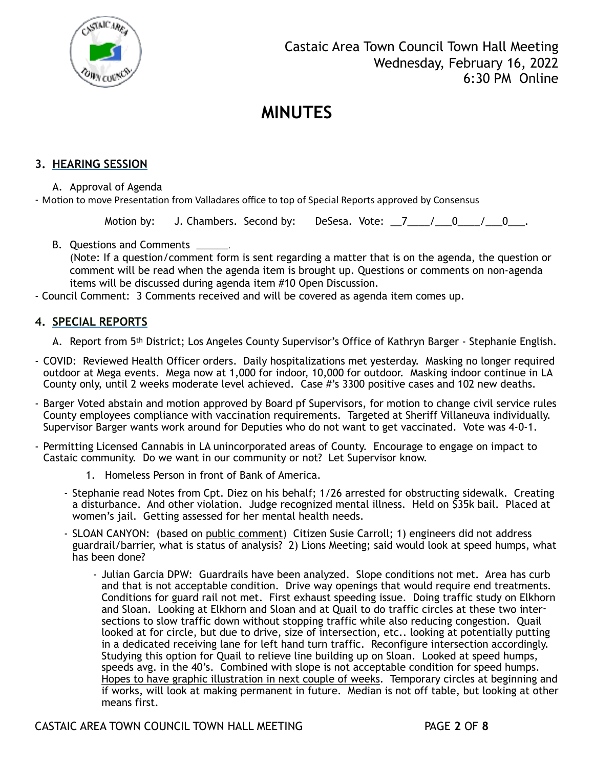

### **3. HEARING SESSION**

A. Approval of Agenda

- Motion to move Presentation from Valladares office to top of Special Reports approved by Consensus

Motion by: J. Chambers. Second by: DeSesa. Vote:  $\frac{7}{7}$  / 0 / 0  $\frac{0}{7}$ .

B. Questions and Comments \_\_\_\_\_

(Note: If a question/comment form is sent regarding a matter that is on the agenda, the question or comment will be read when the agenda item is brought up. Questions or comments on non-agenda items will be discussed during agenda item #10 Open Discussion.

- Council Comment: 3 Comments received and will be covered as agenda item comes up.

#### **4. SPECIAL REPORTS**

- A. Report from 5th District; Los Angeles County Supervisor's Office of Kathryn Barger Stephanie English.
- COVID: Reviewed Health Officer orders. Daily hospitalizations met yesterday. Masking no longer required outdoor at Mega events. Mega now at 1,000 for indoor, 10,000 for outdoor. Masking indoor continue in LA County only, until 2 weeks moderate level achieved. Case #'s 3300 positive cases and 102 new deaths.
- Barger Voted abstain and motion approved by Board pf Supervisors, for motion to change civil service rules County employees compliance with vaccination requirements. Targeted at Sheriff Villaneuva individually. Supervisor Barger wants work around for Deputies who do not want to get vaccinated. Vote was 4-0-1.
- Permitting Licensed Cannabis in LA unincorporated areas of County. Encourage to engage on impact to Castaic community. Do we want in our community or not? Let Supervisor know.
	- 1. Homeless Person in front of Bank of America.
	- Stephanie read Notes from Cpt. Diez on his behalf; 1/26 arrested for obstructing sidewalk. Creating a disturbance. And other violation. Judge recognized mental illness. Held on \$35k bail. Placed at women's jail. Getting assessed for her mental health needs.
	- SLOAN CANYON: (based on public comment) Citizen Susie Carroll; 1) engineers did not address guardrail/barrier, what is status of analysis? 2) Lions Meeting; said would look at speed humps, what has been done?
		- Julian Garcia DPW: Guardrails have been analyzed. Slope conditions not met. Area has curb and that is not acceptable condition. Drive way openings that would require end treatments. Conditions for guard rail not met. First exhaust speeding issue. Doing traffic study on Elkhorn and Sloan. Looking at Elkhorn and Sloan and at Quail to do traffic circles at these two intersections to slow traffic down without stopping traffic while also reducing congestion. Quail looked at for circle, but due to drive, size of intersection, etc.. looking at potentially putting in a dedicated receiving lane for left hand turn traffic. Reconfigure intersection accordingly. Studying this option for Quail to relieve line building up on Sloan. Looked at speed humps, speeds avg. in the 40's. Combined with slope is not acceptable condition for speed humps. Hopes to have graphic illustration in next couple of weeks. Temporary circles at beginning and if works, will look at making permanent in future. Median is not off table, but looking at other means first.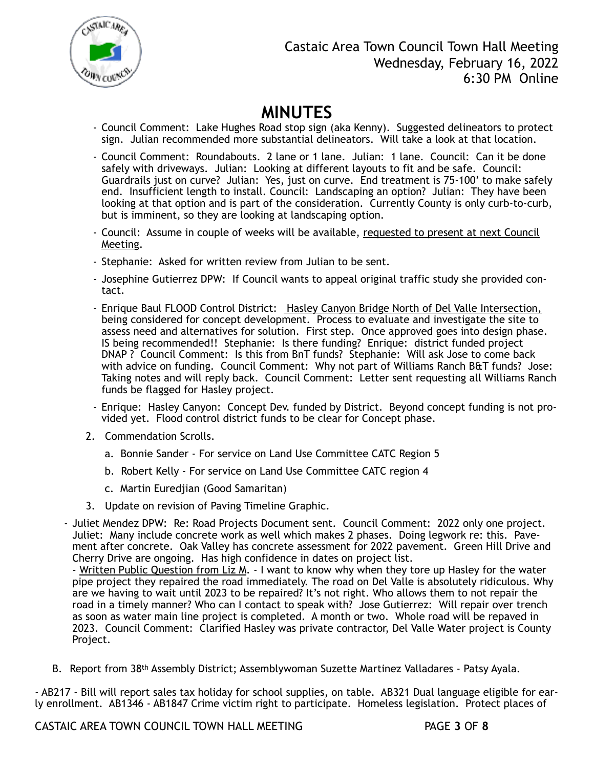

- Council Comment: Lake Hughes Road stop sign (aka Kenny). Suggested delineators to protect sign. Julian recommended more substantial delineators. Will take a look at that location.
- Council Comment: Roundabouts. 2 lane or 1 lane. Julian: 1 lane. Council: Can it be done safely with driveways. Julian: Looking at different layouts to fit and be safe. Council: Guardrails just on curve? Julian: Yes, just on curve. End treatment is 75-100' to make safely end. Insufficient length to install. Council: Landscaping an option? Julian: They have been looking at that option and is part of the consideration. Currently County is only curb-to-curb, but is imminent, so they are looking at landscaping option.
- Council: Assume in couple of weeks will be available, requested to present at next Council Meeting.
- Stephanie: Asked for written review from Julian to be sent.
- Josephine Gutierrez DPW: If Council wants to appeal original traffic study she provided contact.
- Enrique Baul FLOOD Control District: Hasley Canyon Bridge North of Del Valle Intersection, being considered for concept development. Process to evaluate and investigate the site to assess need and alternatives for solution. First step. Once approved goes into design phase. IS being recommended!! Stephanie: Is there funding? Enrique: district funded project DNAP ? Council Comment: Is this from BnT funds? Stephanie: Will ask Jose to come back with advice on funding. Council Comment: Why not part of Williams Ranch B&T funds? Jose: Taking notes and will reply back. Council Comment: Letter sent requesting all Williams Ranch funds be flagged for Hasley project.
- Enrique: Hasley Canyon: Concept Dev. funded by District. Beyond concept funding is not provided yet. Flood control district funds to be clear for Concept phase.
- 2. Commendation Scrolls.
	- a. Bonnie Sander For service on Land Use Committee CATC Region 5
	- b. Robert Kelly For service on Land Use Committee CATC region 4
	- c. Martin Euredjian (Good Samaritan)
- 3. Update on revision of Paving Timeline Graphic.

- Juliet Mendez DPW: Re: Road Projects Document sent. Council Comment: 2022 only one project. Juliet: Many include concrete work as well which makes 2 phases. Doing legwork re: this. Pavement after concrete. Oak Valley has concrete assessment for 2022 pavement. Green Hill Drive and Cherry Drive are ongoing. Has high confidence in dates on project list.

- Written Public Question from Liz M. - I want to know why when they tore up Hasley for the water pipe project they repaired the road immediately. The road on Del Valle is absolutely ridiculous. Why are we having to wait until 2023 to be repaired? It's not right. Who allows them to not repair the road in a timely manner? Who can I contact to speak with? Jose Gutierrez: Will repair over trench as soon as water main line project is completed. A month or two. Whole road will be repaved in 2023. Council Comment: Clarified Hasley was private contractor, Del Valle Water project is County Project.

B. Report from 38th Assembly District; Assemblywoman Suzette Martinez Valladares - Patsy Ayala.

- AB217 - Bill will report sales tax holiday for school supplies, on table. AB321 Dual language eligible for early enrollment. AB1346 - AB1847 Crime victim right to participate. Homeless legislation. Protect places of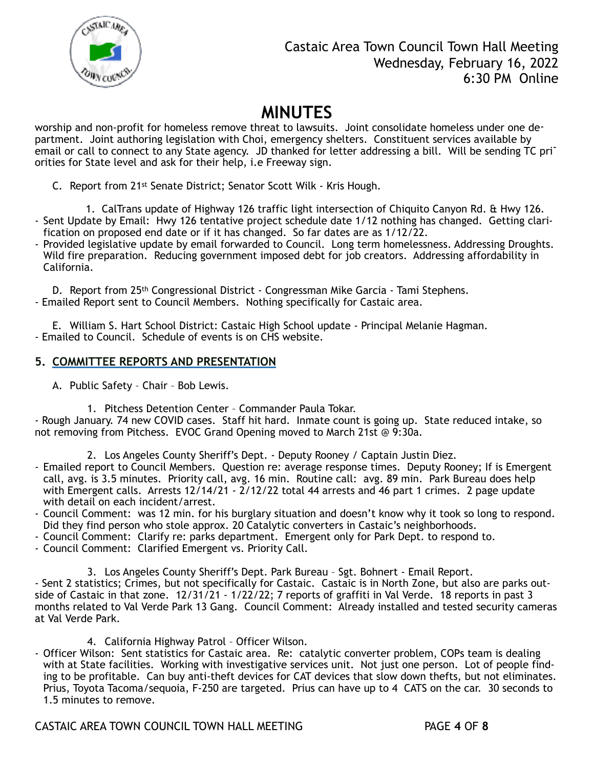

## Castaic Area Town Council Town Hall Meeting Wednesday, February 16, 2022 6:30 PM Online

# **MINUTES**

worship and non-profit for homeless remove threat to lawsuits. Joint consolidate homeless under one department. Joint authoring legislation with Choi, emergency shelters. Constituent services available by email or call to connect to any State agency. JD thanked for letter addressing a bill. Will be sending TC priorities for State level and ask for their help, i.e Freeway sign.

C. Report from 21st Senate District; Senator Scott Wilk - Kris Hough.

 1. CalTrans update of Highway 126 traffic light intersection of Chiquito Canyon Rd. & Hwy 126. - Sent Update by Email: Hwy 126 tentative project schedule date 1/12 nothing has changed. Getting clarification on proposed end date or if it has changed. So far dates are as 1/12/22.

- Provided legislative update by email forwarded to Council. Long term homelessness. Addressing Droughts. Wild fire preparation. Reducing government imposed debt for job creators. Addressing affordability in California.

D. Report from 25th Congressional District - Congressman Mike Garcia - Tami Stephens. - Emailed Report sent to Council Members. Nothing specifically for Castaic area.

E. William S. Hart School District: Castaic High School update - Principal Melanie Hagman. - Emailed to Council. Schedule of events is on CHS website.

### **5. COMMITTEE REPORTS AND PRESENTATION**

- A. Public Safety Chair Bob Lewis.
	- 1. Pitchess Detention Center Commander Paula Tokar.

- Rough January. 74 new COVID cases. Staff hit hard. Inmate count is going up. State reduced intake, so not removing from Pitchess. EVOC Grand Opening moved to March 21st @ 9:30a.

- 2. Los Angeles County Sheriff's Dept. Deputy Rooney / Captain Justin Diez.
- Emailed report to Council Members. Question re: average response times. Deputy Rooney; If is Emergent call, avg. is 3.5 minutes. Priority call, avg. 16 min. Routine call: avg. 89 min. Park Bureau does help with Emergent calls. Arrests 12/14/21 - 2/12/22 total 44 arrests and 46 part 1 crimes. 2 page update with detail on each incident/arrest.
- Council Comment: was 12 min. for his burglary situation and doesn't know why it took so long to respond. Did they find person who stole approx. 20 Catalytic converters in Castaic's neighborhoods.
- Council Comment: Clarify re: parks department. Emergent only for Park Dept. to respond to.
- Council Comment: Clarified Emergent vs. Priority Call.

3. Los Angeles County Sheriff's Dept. Park Bureau – Sgt. Bohnert - Email Report. - Sent 2 statistics; Crimes, but not specifically for Castaic. Castaic is in North Zone, but also are parks outside of Castaic in that zone. 12/31/21 - 1/22/22; 7 reports of graffiti in Val Verde. 18 reports in past 3 months related to Val Verde Park 13 Gang. Council Comment: Already installed and tested security cameras at Val Verde Park.

4. California Highway Patrol – Officer Wilson.

- Officer Wilson: Sent statistics for Castaic area. Re: catalytic converter problem, COPs team is dealing with at State facilities. Working with investigative services unit. Not just one person. Lot of people finding to be profitable. Can buy anti-theft devices for CAT devices that slow down thefts, but not eliminates. Prius, Toyota Tacoma/sequoia, F-250 are targeted. Prius can have up to 4 CATS on the car. 30 seconds to 1.5 minutes to remove.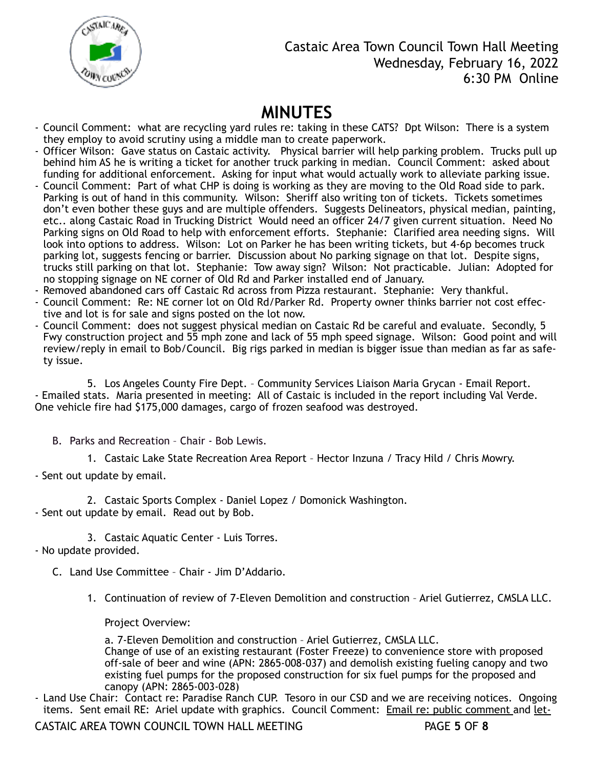

Castaic Area Town Council Town Hall Meeting Wednesday, February 16, 2022 6:30 PM Online

# **MINUTES**

- Council Comment: what are recycling yard rules re: taking in these CATS? Dpt Wilson: There is a system they employ to avoid scrutiny using a middle man to create paperwork.
- Officer Wilson: Gave status on Castaic activity. Physical barrier will help parking problem. Trucks pull up behind him AS he is writing a ticket for another truck parking in median. Council Comment: asked about funding for additional enforcement. Asking for input what would actually work to alleviate parking issue.
- Council Comment: Part of what CHP is doing is working as they are moving to the Old Road side to park. Parking is out of hand in this community. Wilson: Sheriff also writing ton of tickets. Tickets sometimes don't even bother these guys and are multiple offenders. Suggests Delineators, physical median, painting, etc.. along Castaic Road in Trucking District Would need an officer 24/7 given current situation. Need No Parking signs on Old Road to help with enforcement efforts. Stephanie: Clarified area needing signs. Will look into options to address. Wilson: Lot on Parker he has been writing tickets, but 4-6p becomes truck parking lot, suggests fencing or barrier. Discussion about No parking signage on that lot. Despite signs, trucks still parking on that lot. Stephanie: Tow away sign? Wilson: Not practicable. Julian: Adopted for no stopping signage on NE corner of Old Rd and Parker installed end of January.
- Removed abandoned cars off Castaic Rd across from Pizza restaurant. Stephanie: Very thankful.
- Council Comment: Re: NE corner lot on Old Rd/Parker Rd. Property owner thinks barrier not cost effective and lot is for sale and signs posted on the lot now.
- Council Comment: does not suggest physical median on Castaic Rd be careful and evaluate. Secondly, 5 Fwy construction project and 55 mph zone and lack of 55 mph speed signage. Wilson: Good point and will review/reply in email to Bob/Council. Big rigs parked in median is bigger issue than median as far as safety issue.

5. Los Angeles County Fire Dept. – Community Services Liaison Maria Grycan - Email Report. - Emailed stats. Maria presented in meeting: All of Castaic is included in the report including Val Verde. One vehicle fire had \$175,000 damages, cargo of frozen seafood was destroyed.

B. Parks and Recreation – Chair - Bob Lewis.

1. Castaic Lake State Recreation Area Report – Hector Inzuna / Tracy Hild / Chris Mowry.

- Sent out update by email.

2. Castaic Sports Complex - Daniel Lopez / Domonick Washington. - Sent out update by email. Read out by Bob.

3. Castaic Aquatic Center - Luis Torres. - No update provided.

C. Land Use Committee – Chair - Jim D'Addario.

1. Continuation of review of 7-Eleven Demolition and construction – Ariel Gutierrez, CMSLA LLC.

Project Overview:

a. 7-Eleven Demolition and construction – Ariel Gutierrez, CMSLA LLC. Change of use of an existing restaurant (Foster Freeze) to convenience store with proposed off-sale of beer and wine (APN: 2865-008-037) and demolish existing fueling canopy and two existing fuel pumps for the proposed construction for six fuel pumps for the proposed and canopy (APN: 2865-003-028)

- Land Use Chair: Contact re: Paradise Ranch CUP. Tesoro in our CSD and we are receiving notices. Ongoing items. Sent email RE: Ariel update with graphics. Council Comment: Email re: public comment and let-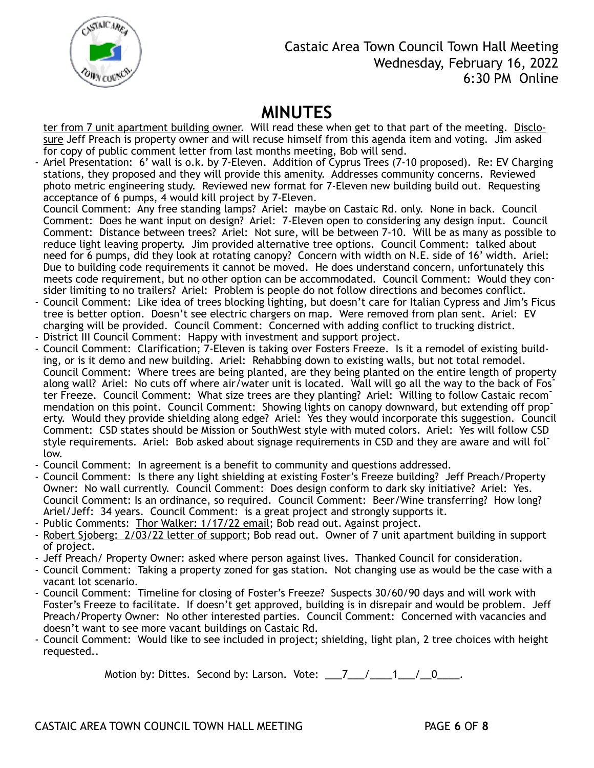

ter from 7 unit apartment building owner. Will read these when get to that part of the meeting. Disclosure Jeff Preach is property owner and will recuse himself from this agenda item and voting. Jim asked for copy of public comment letter from last months meeting, Bob will send.

- Ariel Presentation: 6' wall is o.k. by 7-Eleven. Addition of Cyprus Trees (7-10 proposed). Re: EV Charging stations, they proposed and they will provide this amenity. Addresses community concerns. Reviewed photo metric engineering study. Reviewed new format for 7-Eleven new building build out. Requesting acceptance of 6 pumps, 4 would kill project by 7-Eleven.

Council Comment: Any free standing lamps? Ariel: maybe on Castaic Rd. only. None in back. Council Comment: Does he want input on design? Ariel: 7-Eleven open to considering any design input. Council Comment: Distance between trees? Ariel: Not sure, will be between 7-10. Will be as many as possible to reduce light leaving property. Jim provided alternative tree options. Council Comment: talked about need for 6 pumps, did they look at rotating canopy? Concern with width on N.E. side of 16' width. Ariel: Due to building code requirements it cannot be moved. He does understand concern, unfortunately this meets code requirement, but no other option can be accommodated. Council Comment: Would they consider limiting to no trailers? Ariel: Problem is people do not follow directions and becomes conflict.

- Council Comment: Like idea of trees blocking lighting, but doesn't care for Italian Cypress and Jim's Ficus tree is better option. Doesn't see electric chargers on map. Were removed from plan sent. Ariel: EV charging will be provided. Council Comment: Concerned with adding conflict to trucking district.
- District III Council Comment: Happy with investment and support project.
- Council Comment: Clarification; 7-Eleven is taking over Fosters Freeze. Is it a remodel of existing building, or is it demo and new building. Ariel: Rehabbing down to existing walls, but not total remodel. Council Comment: Where trees are being planted, are they being planted on the entire length of property along wall? Ariel: No cuts off where air/water unit is located. Wall will go all the way to the back of Fos<sup>-</sup> ter Freeze. Council Comment: What size trees are they planting? Ariel: Willing to follow Castaic recommendation on this point. Council Comment: Showing lights on canopy downward, but extending off property. Would they provide shielding along edge? Ariel: Yes they would incorporate this suggestion. Council Comment: CSD states should be Mission or SouthWest style with muted colors. Ariel: Yes will follow CSD style requirements. Ariel: Bob asked about signage requirements in CSD and they are aware and will follow.
- Council Comment: In agreement is a benefit to community and questions addressed.
- Council Comment: Is there any light shielding at existing Foster's Freeze building? Jeff Preach/Property Owner: No wall currently. Council Comment: Does design conform to dark sky initiative? Ariel: Yes. Council Comment: Is an ordinance, so required. Council Comment: Beer/Wine transferring? How long? Ariel/Jeff: 34 years. Council Comment: is a great project and strongly supports it.
- Public Comments: Thor Walker: 1/17/22 email; Bob read out. Against project.
- Robert Sjoberg: 2/03/22 letter of support; Bob read out. Owner of 7 unit apartment building in support of project.
- Jeff Preach/ Property Owner: asked where person against lives. Thanked Council for consideration.
- Council Comment: Taking a property zoned for gas station. Not changing use as would be the case with a vacant lot scenario.
- Council Comment: Timeline for closing of Foster's Freeze? Suspects 30/60/90 days and will work with Foster's Freeze to facilitate. If doesn't get approved, building is in disrepair and would be problem. Jeff Preach/Property Owner: No other interested parties. Council Comment: Concerned with vacancies and doesn't want to see more vacant buildings on Castaic Rd.
- Council Comment: Would like to see included in project; shielding, light plan, 2 tree choices with height requested..

Motion by: Dittes. Second by: Larson. Vote:  $\frac{7}{2}$  /  $\frac{1}{2}$  /  $\frac{0}{2}$ .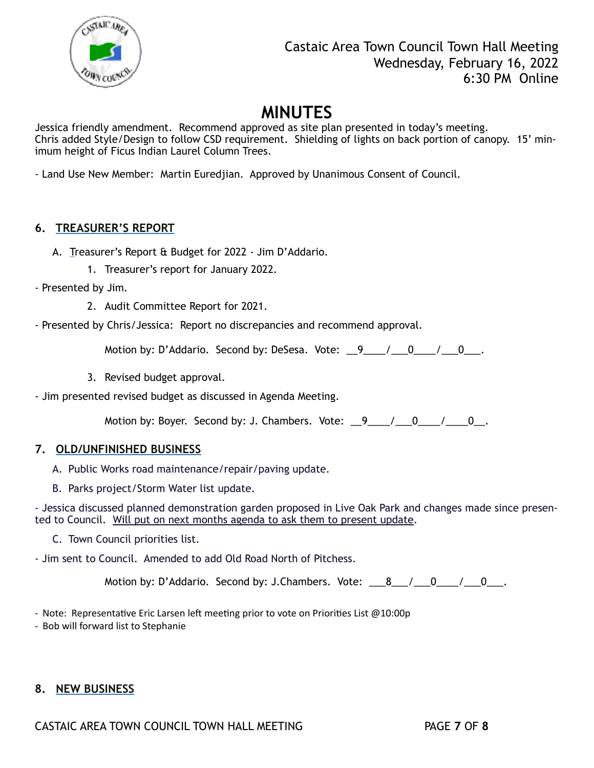

Jessica friendly amendment. Recommend approved as site plan presented in today's meeting. Chris added Style/Design to follow CSD requirement. Shielding of lights on back portion of canopy. 15' minimum height of Ficus Indian Laurel Column Trees.

- Land Use New Member: Martin Euredjian. Approved by Unanimous Consent of Council.

### **6. TREASURER'S REPORT**

- A. Treasurer's Report & Budget for 2022 Jim D'Addario.
	- 1. Treasurer's report for January 2022.
- Presented by Jim.
	- 2. Audit Committee Report for 2021.
- Presented by Chris/Jessica: Report no discrepancies and recommend approval.

Motion by: D'Addario. Second by: DeSesa. Vote: 9 / 0 / 0.

3. Revised budget approval.

- Jim presented revised budget as discussed in Agenda Meeting.

Motion by: Boyer. Second by: J. Chambers. Vote:  $\frac{9}{2}$  / \_\_0\_\_/ \_\_0\_.

#### **7. OLD/UNFINISHED BUSINESS**

- A. Public Works road maintenance/repair/paving update.
- B. Parks project/Storm Water list update.

- Jessica discussed planned demonstration garden proposed in Live Oak Park and changes made since presented to Council. Will put on next months agenda to ask them to present update.

C. Town Council priorities list.

- Jim sent to Council. Amended to add Old Road North of Pitchess.

Motion by: D'Addario. Second by: J.Chambers. Vote:  $\begin{array}{cccc} 8 & / & 0 & / & 0 \\ 0 & \end{array}$ .

- Note: Representative Eric Larsen left meeting prior to vote on Priorities List @10:00p

- Bob will forward list to Stephanie

### **8. NEW BUSINESS**

CASTAIC AREA TOWN COUNCIL TOWN HALL MEETING PAGE **7** OF **8**